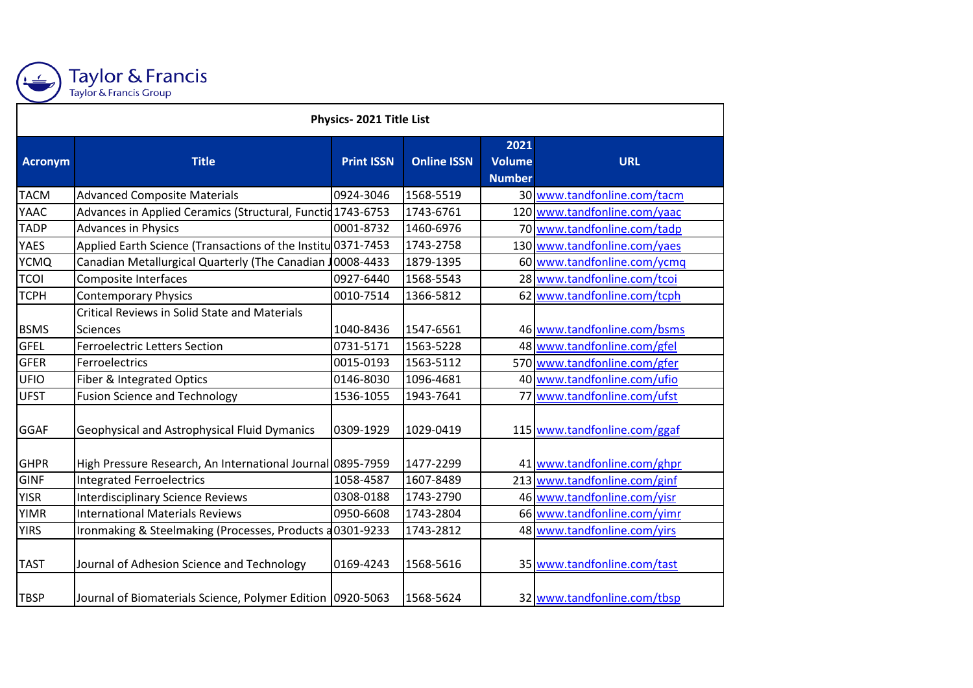

## Taylor & Francis<br>Taylor & Francis Group

| Physics-2021 Title List |                                                                         |                   |                    |                                        |                              |  |  |  |
|-------------------------|-------------------------------------------------------------------------|-------------------|--------------------|----------------------------------------|------------------------------|--|--|--|
| Acronym                 | <b>Title</b>                                                            | <b>Print ISSN</b> | <b>Online ISSN</b> | 2021<br><b>Volume</b><br><b>Number</b> | <b>URL</b>                   |  |  |  |
| <b>TACM</b>             | <b>Advanced Composite Materials</b>                                     | 0924-3046         | 1568-5519          |                                        | 30 www.tandfonline.com/tacm  |  |  |  |
| <b>YAAC</b>             | Advances in Applied Ceramics (Structural, Functid 1743-6753             |                   | 1743-6761          |                                        | 120 www.tandfonline.com/yaac |  |  |  |
| <b>TADP</b>             | <b>Advances in Physics</b>                                              | 0001-8732         | 1460-6976          |                                        | 70 www.tandfonline.com/tadp  |  |  |  |
| <b>YAES</b>             | Applied Earth Science (Transactions of the Institu 0371-7453            |                   | 1743-2758          |                                        | 130 www.tandfonline.com/yaes |  |  |  |
| <b>YCMQ</b>             | Canadian Metallurgical Quarterly (The Canadian J                        | 0008-4433         | 1879-1395          |                                        | 60 www.tandfonline.com/ycmq  |  |  |  |
| <b>TCOI</b>             | Composite Interfaces                                                    | 0927-6440         | 1568-5543          |                                        | 28 www.tandfonline.com/tcoi  |  |  |  |
| <b>TCPH</b>             | <b>Contemporary Physics</b>                                             | 0010-7514         | 1366-5812          |                                        | 62 www.tandfonline.com/tcph  |  |  |  |
| <b>BSMS</b>             | <b>Critical Reviews in Solid State and Materials</b><br><b>Sciences</b> | 1040-8436         | 1547-6561          |                                        | 46 www.tandfonline.com/bsms  |  |  |  |
| <b>GFEL</b>             | <b>Ferroelectric Letters Section</b>                                    | 0731-5171         | 1563-5228          |                                        | 48 www.tandfonline.com/gfel  |  |  |  |
| GFER                    | Ferroelectrics                                                          | 0015-0193         | 1563-5112          |                                        | 570 www.tandfonline.com/gfer |  |  |  |
| UFIO                    | Fiber & Integrated Optics                                               | 0146-8030         | 1096-4681          |                                        | 40 www.tandfonline.com/ufio  |  |  |  |
| <b>UFST</b>             | <b>Fusion Science and Technology</b>                                    | 1536-1055         | 1943-7641          |                                        | 77 www.tandfonline.com/ufst  |  |  |  |
| <b>GGAF</b>             | Geophysical and Astrophysical Fluid Dymanics                            | 0309-1929         | 1029-0419          |                                        | 115 www.tandfonline.com/ggaf |  |  |  |
| <b>GHPR</b>             | High Pressure Research, An International Journal 0895-7959              |                   | 1477-2299          |                                        | 41 www.tandfonline.com/ghpr  |  |  |  |
| GINF                    | <b>Integrated Ferroelectrics</b>                                        | 1058-4587         | 1607-8489          |                                        | 213 www.tandfonline.com/ginf |  |  |  |
| <b>YISR</b>             | <b>Interdisciplinary Science Reviews</b>                                | 0308-0188         | 1743-2790          |                                        | 46 www.tandfonline.com/yisr  |  |  |  |
| <b>YIMR</b>             | <b>International Materials Reviews</b>                                  | 0950-6608         | 1743-2804          |                                        | 66 www.tandfonline.com/yimr  |  |  |  |
| <b>YIRS</b>             | Ironmaking & Steelmaking (Processes, Products a 0301-9233               |                   | 1743-2812          |                                        | 48 www.tandfonline.com/yirs  |  |  |  |
| <b>TAST</b>             | Journal of Adhesion Science and Technology                              | 0169-4243         | 1568-5616          |                                        | 35 www.tandfonline.com/tast  |  |  |  |
| <b>TBSP</b>             | Journal of Biomaterials Science, Polymer Edition 0920-5063              |                   | 1568-5624          |                                        | 32 www.tandfonline.com/tbsp  |  |  |  |